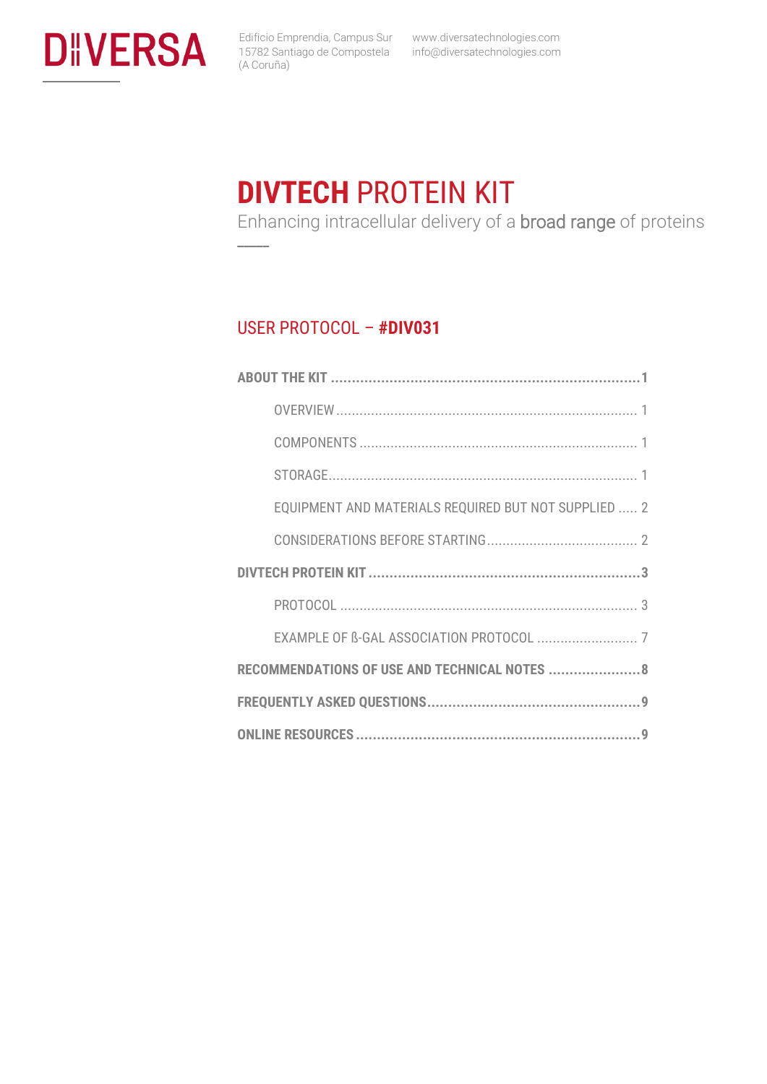

**\_\_\_\_\_**

 www.diversatechnologies.com info@diversatechnologies.com

## **DIVTECH** PROTEIN KIT

Enhancing intracellular delivery of a broad range of proteins

### USER PROTOCOL – **#DIV031**

| EQUIPMENT AND MATERIALS REQUIRED BUT NOT SUPPLIED  2 |
|------------------------------------------------------|
|                                                      |
|                                                      |
|                                                      |
|                                                      |
| RECOMMENDATIONS OF USE AND TECHNICAL NOTES  8        |
|                                                      |
|                                                      |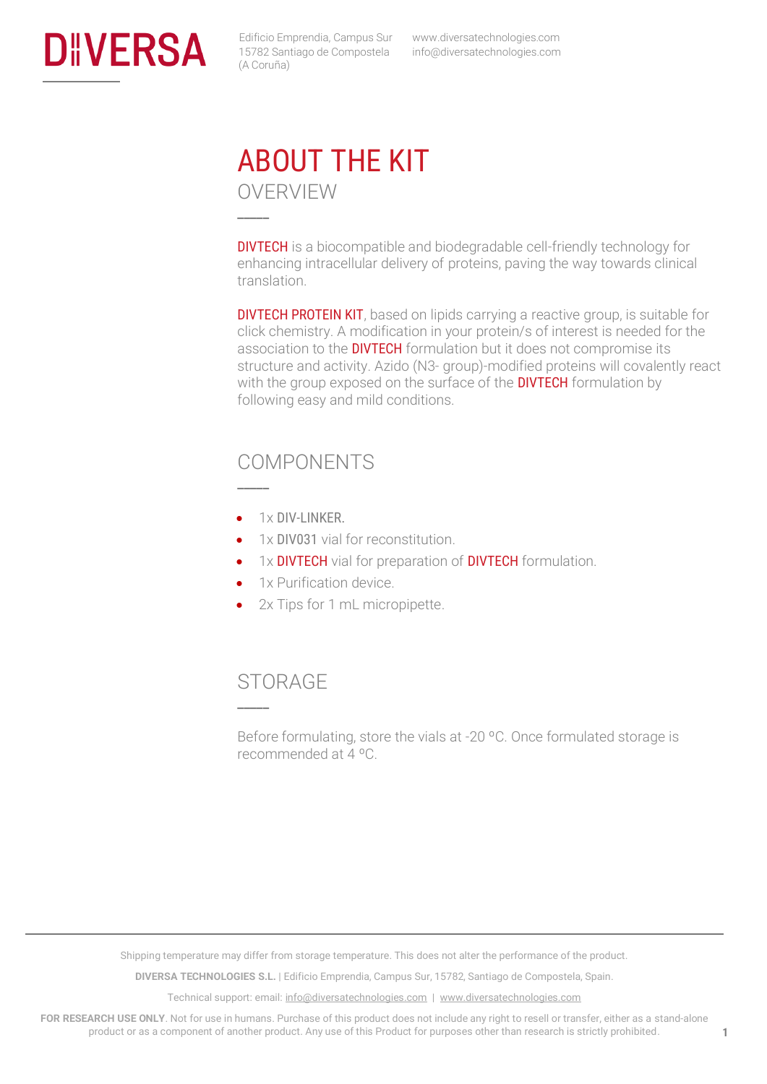<span id="page-1-1"></span><span id="page-1-0"></span>

 www.diversatechnologies.com info@diversatechnologies.com

## ABOUT THE KIT OVERVIEW **\_\_\_\_\_**

DIVTECH is a biocompatible and biodegradable cell-friendly technology for enhancing intracellular delivery of proteins, paving the way towards clinical translation.

**DIVTECH PROTEIN KIT**, based on lipids carrying a reactive group, is suitable for click chemistry. A modification in your protein/s of interest is needed for the association to the **DIVTECH** formulation but it does not compromise its structure and activity. Azido (N3- group)-modified proteins will covalently react with the group exposed on the surface of the **DIVTECH** formulation by following easy and mild conditions.

### <span id="page-1-2"></span>COMPONENTS

• 1x DIV-LINKER.

**\_\_\_\_\_**

- 1x DIV031 vial for reconstitution.
- 1x DIVTECH vial for preparation of DIVTECH formulation.
- 1x Purification device.
- 2x Tips for 1 mL micropipette.

### <span id="page-1-3"></span>STORAGE

**\_\_\_\_\_**

Before formulating, store the vials at -20 ºC. Once formulated storage is recommended at 4 ºC.

Shipping temperature may differ from storage temperature. This does not alter the performance of the product.

**DIVERSA TECHNOLOGIES S.L.** | Edificio Emprendia, Campus Sur, 15782, Santiago de Compostela, Spain.

Technical support: email[: info@diversatechnologies.com](mailto:info@diversatechnologies.com) | [www.diversatechnologies.com](http://www.diversatechnologies.com/)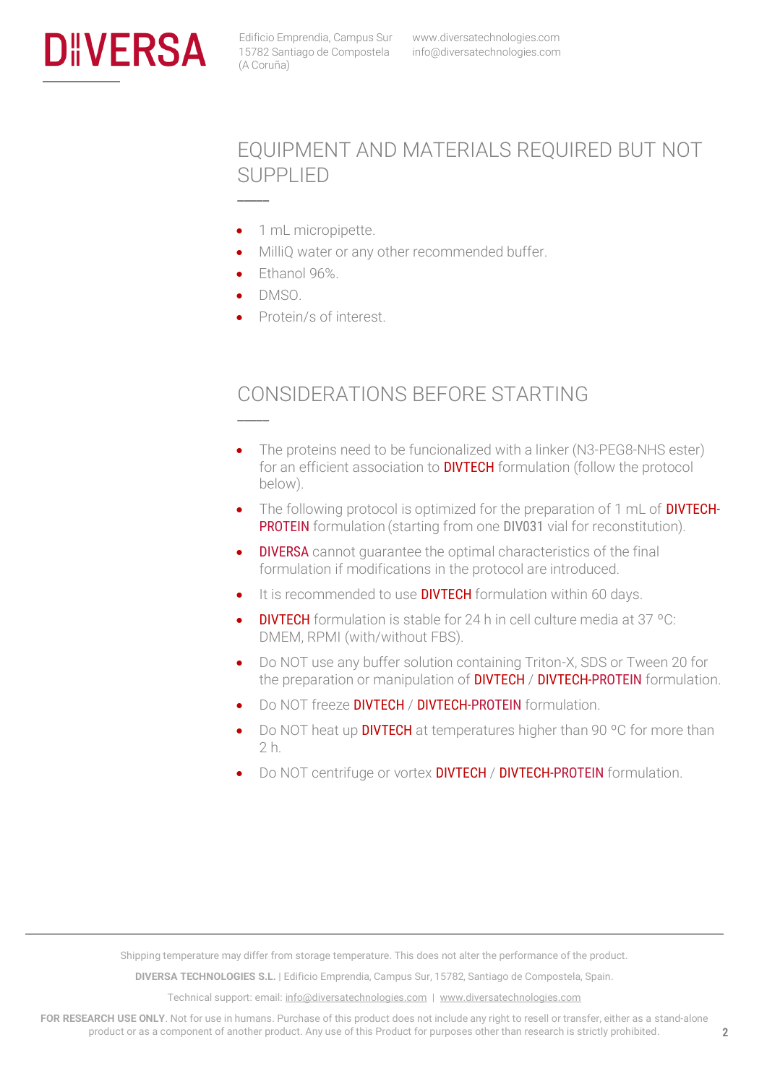<span id="page-2-0"></span>

## EQUIPMENT AND MATERIALS REQUIRED BUT NOT SUPPLIED

- 1 mL micropipette.
- MilliQ water or any other recommended buffer.
- Ethanol 96%.
- DMSO.

**\_\_\_\_\_**

**\_\_\_\_\_**

• Protein/s of interest.

## <span id="page-2-1"></span>CONSIDERATIONS BEFORE STARTING

- The proteins need to be funcionalized with a linker (N3-PEG8-NHS ester) for an efficient association to **DIVTECH** formulation (follow the protocol below).
- The following protocol is optimized for the preparation of 1 mL of **DIVTECH-**PROTEIN formulation (starting from one DIV031 vial for reconstitution).
- **DIVERSA** cannot quarantee the optimal characteristics of the final formulation if modifications in the protocol are introduced.
- It is recommended to use **DIVTECH** formulation within 60 days.
- DIVTECH formulation is stable for 24 h in cell culture media at 37 ºC: DMEM, RPMI (with/without FBS).
- Do NOT use any buffer solution containing Triton-X, SDS or Tween 20 for the preparation or manipulation of **DIVTECH** / **DIVTECH-PROTEIN** formulation.
- Do NOT freeze **DIVTECH / DIVTECH-PROTEIN** formulation.
- Do NOT heat up **DIVTECH** at temperatures higher than 90 °C for more than 2 h.
- Do NOT centrifuge or vortex **DIVTECH / DIVTECH-PROTEIN** formulation.

Shipping temperature may differ from storage temperature. This does not alter the performance of the product.

**DIVERSA TECHNOLOGIES S.L.** | Edificio Emprendia, Campus Sur, 15782, Santiago de Compostela, Spain.

Technical support: email[: info@diversatechnologies.com](mailto:info@diversatechnologies.com) | [www.diversatechnologies.com](http://www.diversatechnologies.com/)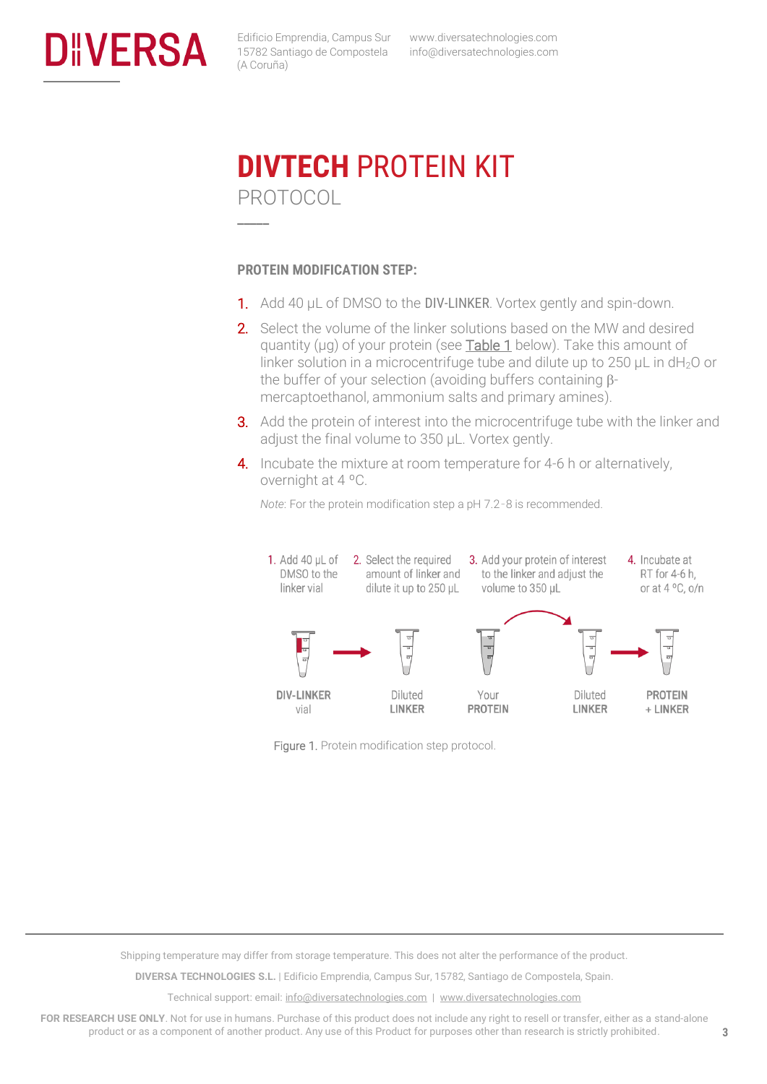<span id="page-3-1"></span><span id="page-3-0"></span>

 www.diversatechnologies.com info@diversatechnologies.com

## **DIVTECH** PROTEIN KIT PROTOCOL

#### **PROTEIN MODIFICATION STEP:**

**\_\_\_\_\_**

- 1. Add 40 µL of DMSO to the DIV-LINKER. Vortex gently and spin-down.
- 2. Select the volume of the linker solutions based on the MW and desired quantity (µg) of your protein (see [Table 1](#page-8-0) below). Take this amount of linker solution in a microcentrifuge tube and dilute up to 250  $\mu$ L in dH<sub>2</sub>O or the buffer of your selection (avoiding buffers containing  $\beta$ mercaptoethanol, ammonium salts and primary amines).
- **3.** Add the protein of interest into the microcentrifuge tube with the linker and adjust the final volume to 350 µL. Vortex gently.
- 4. Incubate the mixture at room temperature for 4-6 h or alternatively, overnight at 4 ºC.



*Note*: For the protein modification step a pH 7.2–8 is recommended.

Figure 1. Protein modification step protocol.

Shipping temperature may differ from storage temperature. This does not alter the performance of the product.

**DIVERSA TECHNOLOGIES S.L.** | Edificio Emprendia, Campus Sur, 15782, Santiago de Compostela, Spain.

Technical support: email[: info@diversatechnologies.com](mailto:info@diversatechnologies.com) | [www.diversatechnologies.com](http://www.diversatechnologies.com/)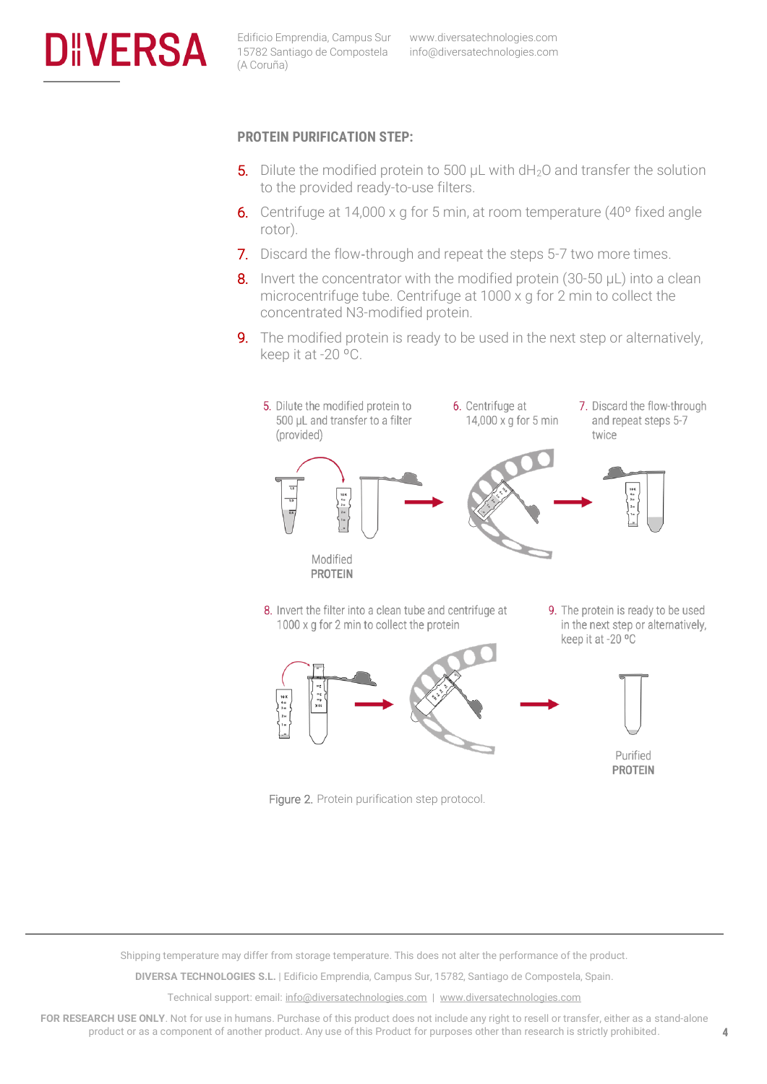

#### **PROTEIN PURIFICATION STEP:**

- 5. Dilute the modified protein to 500  $\mu$ L with dH<sub>2</sub>O and transfer the solution to the provided ready-to-use filters.
- 6. Centrifuge at 14,000 x g for 5 min, at room temperature (40º fixed angle rotor).
- 7. Discard the flow-through and repeat the steps 5-7 two more times.
- 8. Invert the concentrator with the modified protein (30-50  $\mu$ L) into a clean microcentrifuge tube. Centrifuge at 1000 x g for 2 min to collect the concentrated N3-modified protein.
- **9.** The modified protein is ready to be used in the next step or alternatively, keep it at -20 ºC.



- 8. Invert the filter into a clean tube and centrifuge at 1000 x g for 2 min to collect the protein
- 9. The protein is ready to be used in the next step or alternatively, keep it at -20 °C





Shipping temperature may differ from storage temperature. This does not alter the performance of the product.

**DIVERSA TECHNOLOGIES S.L.** | Edificio Emprendia, Campus Sur, 15782, Santiago de Compostela, Spain.

Technical support: email[: info@diversatechnologies.com](mailto:info@diversatechnologies.com) | [www.diversatechnologies.com](http://www.diversatechnologies.com/)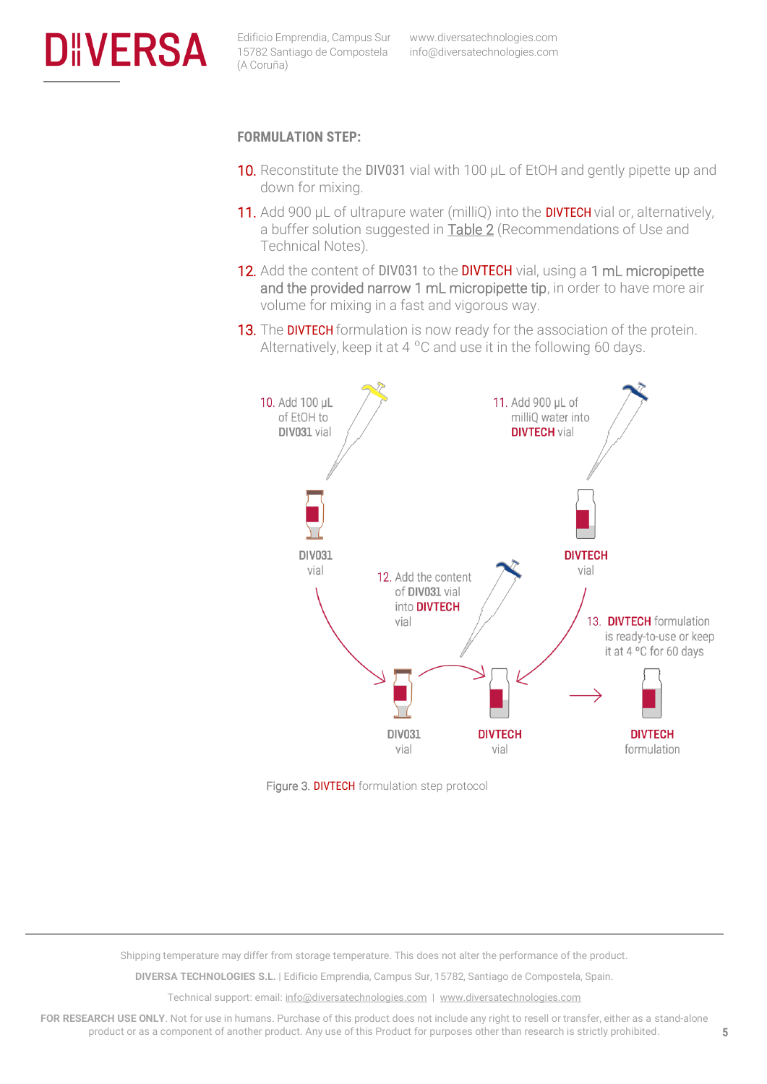

#### **FORMULATION STEP:**

- 10. Reconstitute the DIV031 vial with 100  $\mu$ L of EtOH and gently pipette up and down for mixing.
- 11. Add 900 µL of ultrapure water (milliQ) into the **DIVTECH** vial or, alternatively, a buffer solution suggested in **Table 2** (Recommendations of Use and Technical Notes).
- 12. Add the content of DIV031 to the DIVTECH vial, using a 1 mL micropipette and the provided narrow 1 mL micropipette tip, in order to have more air volume for mixing in a fast and vigorous way.
- **13.** The **DIVTECH** formulation is now ready for the association of the protein. Alternatively, keep it at 4  $^{\circ}$ C and use it in the following 60 days.



Figure 3. DIVTECH formulation step protocol

Shipping temperature may differ from storage temperature. This does not alter the performance of the product.

**DIVERSA TECHNOLOGIES S.L.** | Edificio Emprendia, Campus Sur, 15782, Santiago de Compostela, Spain.

Technical support: email[: info@diversatechnologies.com](mailto:info@diversatechnologies.com) | [www.diversatechnologies.com](http://www.diversatechnologies.com/)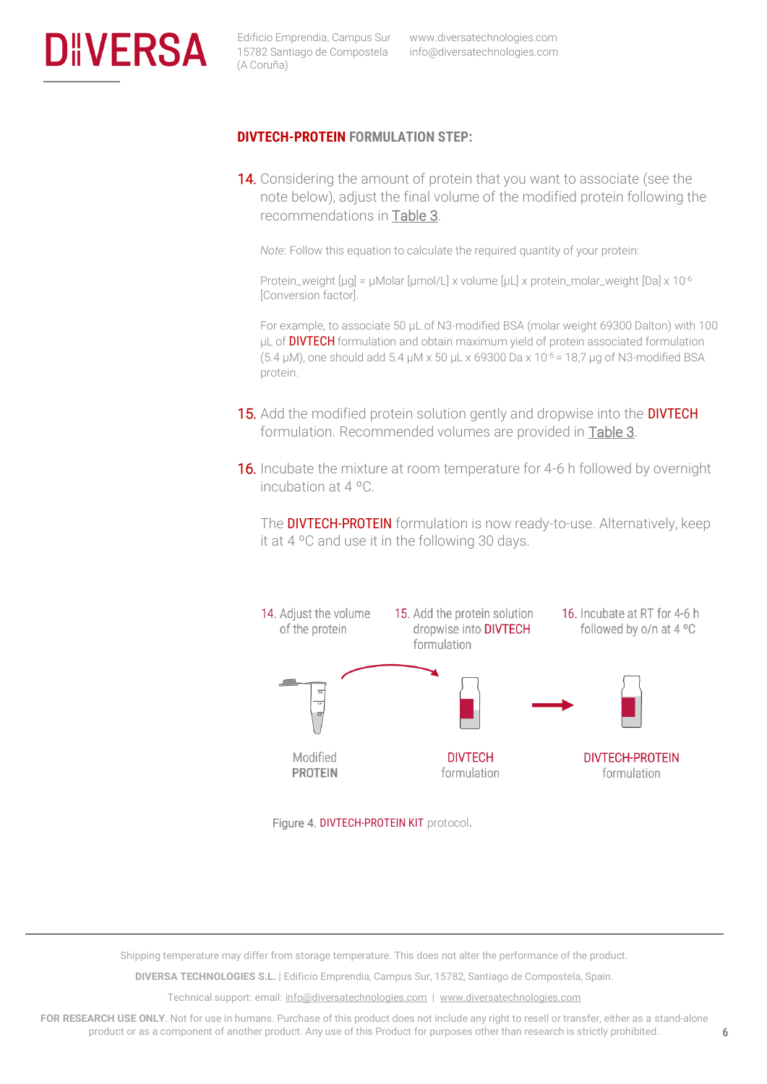

#### **DIVTECH-PROTEIN FORMULATION STEP:**

14. Considering the amount of protein that you want to associate (see the note below), adjust the final volume of the modified protein following the recommendations in [Table 3.](#page-8-0)

*Note*: Follow this equation to calculate the required quantity of your protein:

Protein\_weight [µg] = µMolar [µmol/L] x volume [µL] x protein\_molar\_weight [Da] x 10<sup>-6</sup> [Conversion factor].

For example, to associate 50 µL of N3-modified BSA (molar weight 69300 Dalton) with 100 µL of **DIVTECH** formulation and obtain maximum yield of protein associated formulation (5.4  $\mu$ M), one should add 5.4  $\mu$ M x 50  $\mu$ L x 69300 Da x 10<sup>-6</sup> = 18,7  $\mu$ g of N3-modified BSA protein.

- 15. Add the modified protein solution gently and dropwise into the DIVTECH formulation. Recommended volumes are provided in [Table 3.](#page-8-0)
- **16.** Incubate the mixture at room temperature for 4-6 h followed by overnight incubation at 4 ºC.

The DIVTECH-PROTEIN formulation is now ready-to-use. Alternatively, keep it at 4 ºC and use it in the following 30 days.



Figure 4. DIVTECH-PROTEIN KIT protocol.

Shipping temperature may differ from storage temperature. This does not alter the performance of the product.

**DIVERSA TECHNOLOGIES S.L.** | Edificio Emprendia, Campus Sur, 15782, Santiago de Compostela, Spain.

Technical support: email[: info@diversatechnologies.com](mailto:info@diversatechnologies.com) | [www.diversatechnologies.com](http://www.diversatechnologies.com/)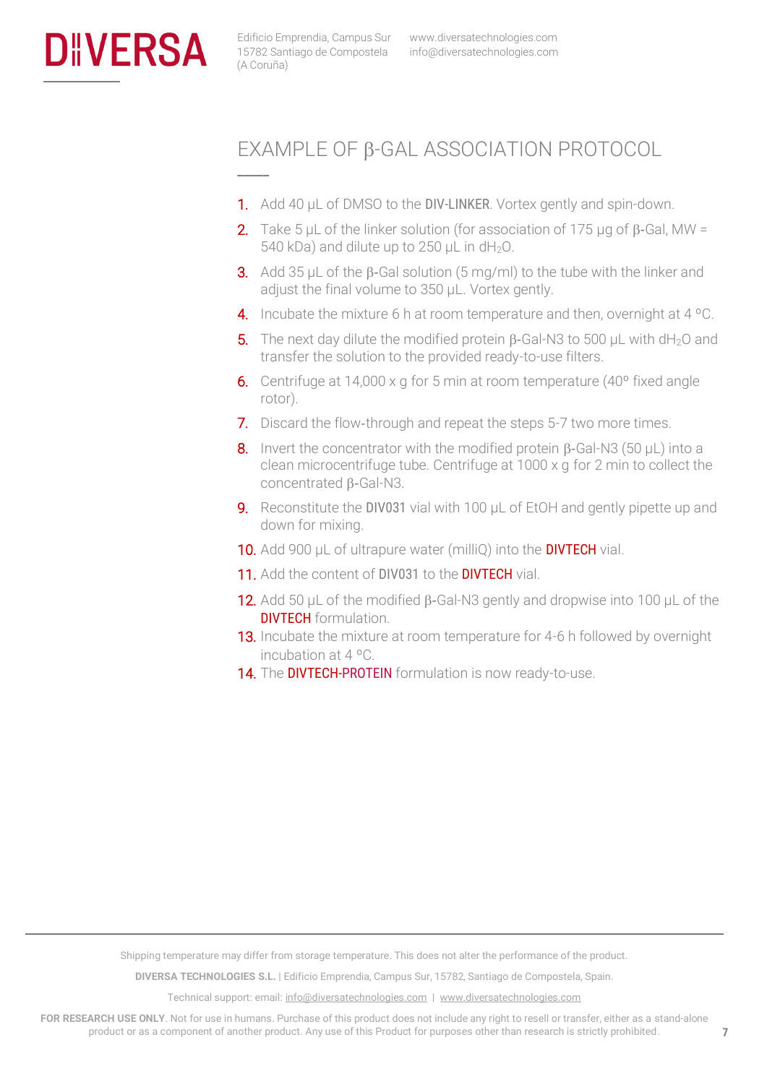<span id="page-7-0"></span>

**\_\_\_\_\_**

## EXAMPLE OF B-GAL ASSOCIATION PROTOCOL

- 1. Add 40 µL of DMSO to the DIV-LINKER. Vortex gently and spin-down.
- **2.** Take 5 µL of the linker solution (for association of 175 µg of  $\beta$ -Gal, MW = 540 kDa) and dilute up to 250  $\mu$ L in dH<sub>2</sub>O.
- **3.** Add 35 µL of the  $\beta$ -Gal solution (5 mg/ml) to the tube with the linker and adjust the final volume to 350 µL. Vortex gently.
- 4. Incubate the mixture 6 h at room temperature and then, overnight at 4 °C.
- **5.** The next day dilute the modified protein  $\beta$ -Gal-N3 to 500 μL with dH<sub>2</sub>O and transfer the solution to the provided ready-to-use filters.
- 6. Centrifuge at 14,000 x g for 5 min at room temperature (40º fixed angle rotor).
- 7. Discard the flow-through and repeat the steps 5-7 two more times.
- 8. Invert the concentrator with the modified protein  $\beta$ -Gal-N3 (50 µL) into a clean microcentrifuge tube. Centrifuge at 1000 x g for 2 min to collect the  $concentrated B-Gal-N3.$
- 9. Reconstitute the DIV031 vial with 100  $\mu$ L of EtOH and gently pipette up and down for mixing.
- 10. Add 900 µL of ultrapure water (milliQ) into the DIVTECH vial.
- 11. Add the content of DIV031 to the DIVTECH vial.
- **12.** Add 50  $\mu$ L of the modified  $\beta$ -Gal-N3 gently and dropwise into 100  $\mu$ L of the **DIVTECH** formulation.
- **13.** Incubate the mixture at room temperature for 4-6 h followed by overnight incubation at 4 ºC.
- 14. The DIVTECH-PROTEIN formulation is now ready-to-use.

Shipping temperature may differ from storage temperature. This does not alter the performance of the product.

**DIVERSA TECHNOLOGIES S.L.** | Edificio Emprendia, Campus Sur, 15782, Santiago de Compostela, Spain.

Technical support: email[: info@diversatechnologies.com](mailto:info@diversatechnologies.com) | [www.diversatechnologies.com](http://www.diversatechnologies.com/)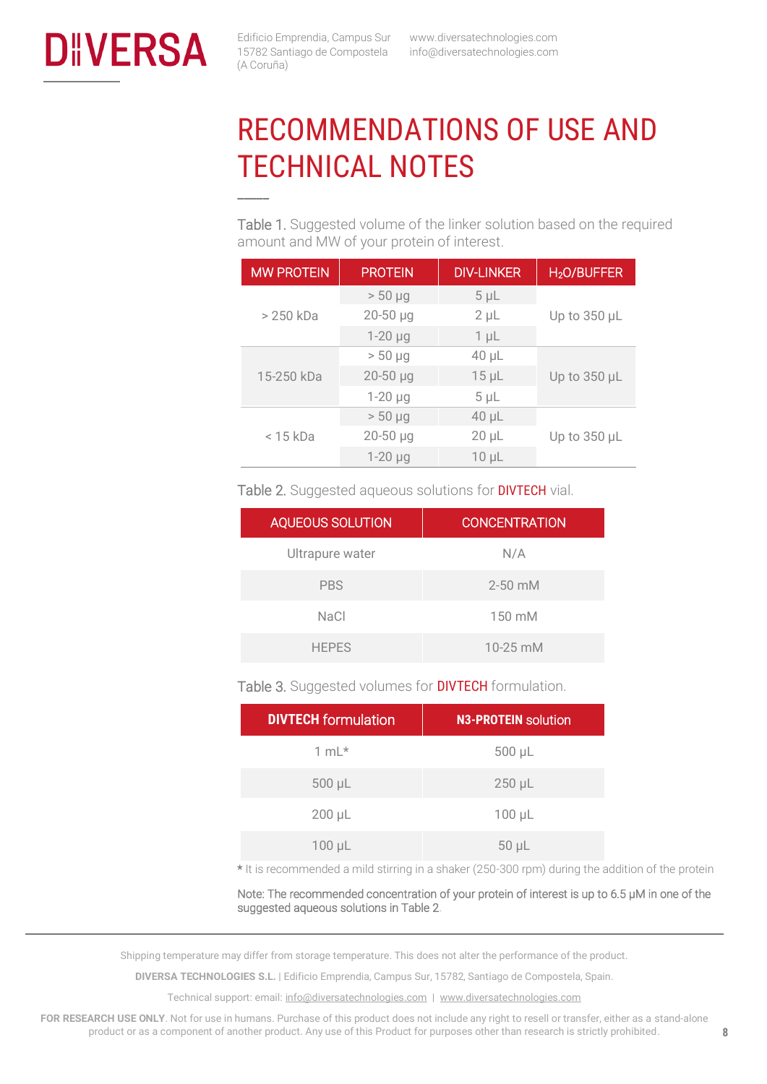<span id="page-8-0"></span>

**\_\_\_\_\_**

# RECOMMENDATIONS OF USE AND TECHNICAL NOTES

Table 1. Suggested volume of the linker solution based on the required amount and MW of your protein of interest.

| <b>MW PROTEIN</b> | <b>PROTEIN</b>    | <b>DIV-LINKER</b> | H <sub>2</sub> O/BUFFER |
|-------------------|-------------------|-------------------|-------------------------|
| > 250 kDa         | $> 50 \mu g$      | $5 \mu L$         |                         |
|                   | $20 - 50$ $\mu$ g | $2 \mu L$         | Up to 350 µL            |
|                   | $1-20 \mu g$      | $1 \mu L$         |                         |
| 15-250 kDa        | $> 50 \mu g$      | $40 \mu L$        |                         |
|                   | $20 - 50$ µg      | $15 \mu L$        | Up to 350 µL            |
|                   | $1-20 \mu g$      | $5 \mu L$         |                         |
| $<$ 15 kDa        | $> 50 \mu g$      | $40 \mu L$        |                         |
|                   | $20 - 50$ µg      | $20 \mu L$        | Up to 350 µL            |
|                   | $1-20$ $\mu$ g    | $10 \mu L$        |                         |

Table 2. Suggested aqueous solutions for **DIVTECH** vial.

| <b>AQUEOUS SOLUTION</b> | <b>CONCENTRATION</b> |
|-------------------------|----------------------|
| Ultrapure water         | N/A                  |
| <b>PBS</b>              | $2 - 50$ mM          |
| NaCl                    | $150 \text{ mM}$     |
| <b>HEPES</b>            | $10 - 25$ mM         |

Table 3. Suggested volumes for **DIVTECH** formulation.

| <b>DIVTECH</b> formulation | <b>N3-PROTEIN solution</b> |
|----------------------------|----------------------------|
| $1 mL*$                    | 500 µL                     |
| 500 µL                     | $250 \mu L$                |
| $200 \mu L$                | $100 \mu L$                |
| $100 \mu L$                | $50 \mu L$                 |

\* It is recommended a mild stirring in a shaker (250-300 rpm) during the addition of the protein

Note: The recommended concentration of your protein of interest is up to 6.5 µM in one of the suggested aqueous solutions in Table 2.

Shipping temperature may differ from storage temperature. This does not alter the performance of the product.

**DIVERSA TECHNOLOGIES S.L.** | Edificio Emprendia, Campus Sur, 15782, Santiago de Compostela, Spain.

Technical support: email[: info@diversatechnologies.com](mailto:info@diversatechnologies.com) | [www.diversatechnologies.com](http://www.diversatechnologies.com/)